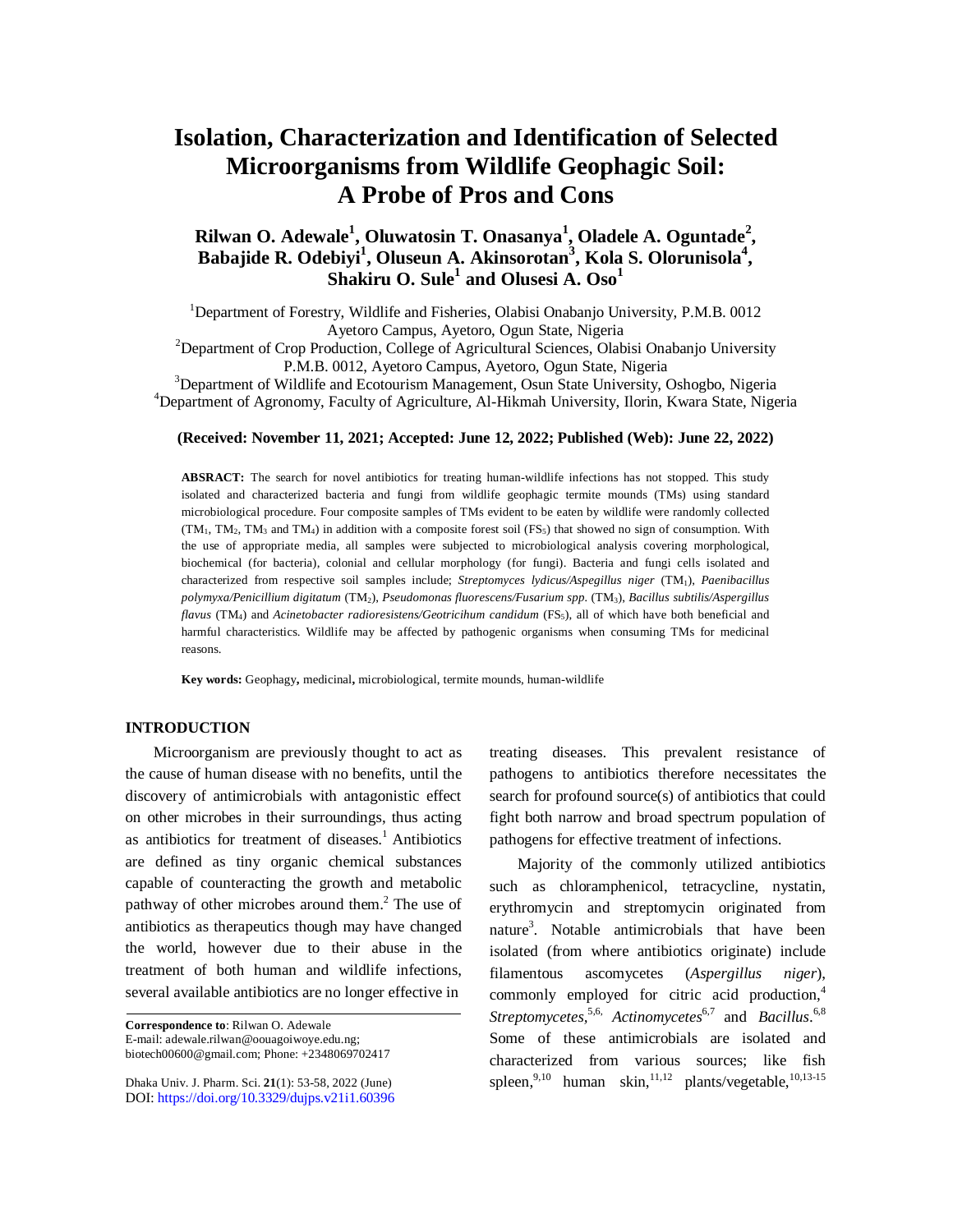# **Isolation, Characterization and Identification of Selected Microorganisms from Wildlife Geophagic Soil: A Probe of Pros and Cons**

# **Rilwan O. Adewale<sup>1</sup> , Oluwatosin T. Onasanya<sup>1</sup> , Oladele A. Oguntade<sup>2</sup> , Babajide R. Odebiyi<sup>1</sup> , Oluseun A. Akinsorotan<sup>3</sup> , Kola S. Olorunisola<sup>4</sup> , Shakiru O. Sule<sup>1</sup> and Olusesi A. Oso<sup>1</sup>**

<sup>1</sup>Department of Forestry, Wildlife and Fisheries, Olabisi Onabanjo University, P.M.B. 0012 Ayetoro Campus, Ayetoro, Ogun State, Nigeria

<sup>2</sup>Department of Crop Production, College of Agricultural Sciences, Olabisi Onabanjo University P.M.B. 0012, Ayetoro Campus, Ayetoro, Ogun State, Nigeria

<sup>3</sup>Department of Wildlife and Ecotourism Management, Osun State University, Oshogbo, Nigeria <sup>4</sup>Department of Agronomy, Faculty of Agriculture, Al-Hikmah University, Ilorin, Kwara State, Nigeria

#### **(Received: November 11, 2021; Accepted: June 12, 2022; Published (Web): June 22, 2022)**

**ABSRACT:** The search for novel antibiotics for treating human-wildlife infections has not stopped. This study isolated and characterized bacteria and fungi from wildlife geophagic termite mounds (TMs) using standard microbiological procedure. Four composite samples of TMs evident to be eaten by wildlife were randomly collected  $(TM_1, TM_2, TM_3$  and TM<sub>4</sub>) in addition with a composite forest soil (FS<sub>5</sub>) that showed no sign of consumption. With the use of appropriate media, all samples were subjected to microbiological analysis covering morphological, biochemical (for bacteria), colonial and cellular morphology (for fungi). Bacteria and fungi cells isolated and characterized from respective soil samples include; *Streptomyces lydicus/Aspegillus niger* (TM1), *Paenibacillus polymyxa/Penicillium digitatum* (TM2), *Pseudomonas fluorescens/Fusarium spp.* (TM3), *Bacillus subtilis/Aspergillus flavus* (TM4) and *Acinetobacter radioresistens/Geotricihum candidum* (FS5), all of which have both beneficial and harmful characteristics. Wildlife may be affected by pathogenic organisms when consuming TMs for medicinal reasons.

**Key words:** Geophagy**,** medicinal**,** microbiological, termite mounds, human-wildlife

# **INTRODUCTION**

Microorganism are previously thought to act as the cause of human disease with no benefits, until the discovery of antimicrobials with antagonistic effect on other microbes in their surroundings, thus acting as antibiotics for treatment of diseases. <sup>1</sup> Antibiotics are defined as tiny organic chemical substances capable of counteracting the growth and metabolic pathway of other microbes around them. <sup>2</sup> The use of antibiotics as therapeutics though may have changed the world, however due to their abuse in the treatment of both human and wildlife infections, several available antibiotics are no longer effective in

**Correspondence to**: Rilwan O. Adewale E-mail: [adewale.rilwan@oouagoiwoye.edu.ng;](mailto:adewale.rilwan@oouagoiwoye.edu.ng;) [biotech00600@gmail.com;](mailto:biotech00600@gmail.com;) Phone: +2348069702417

Dhaka Univ. J. Pharm. Sci. **21**(1): 53-58, 2022 (June) DOI:<https://doi.org/10.3329/dujps.v21i1.60396> treating diseases. This prevalent resistance of pathogens to antibiotics therefore necessitates the search for profound source(s) of antibiotics that could fight both narrow and broad spectrum population of pathogens for effective treatment of infections.

Majority of the commonly utilized antibiotics such as chloramphenicol, tetracycline, nystatin, erythromycin and streptomycin originated from nature<sup>3</sup>. Notable antimicrobials that have been isolated (from where antibiotics originate) include filamentous ascomycetes (*Aspergillus niger*), commonly employed for citric acid production, 4 *Streptomycetes,*5,6, *Actinomycetes*6,7 and *Bacillus*. 6,8 Some of these antimicrobials are isolated and characterized from various sources; like fish spleen,<sup>9,10</sup> human skin,<sup>11,12</sup> plants/vegetable,<sup>10,13-15</sup>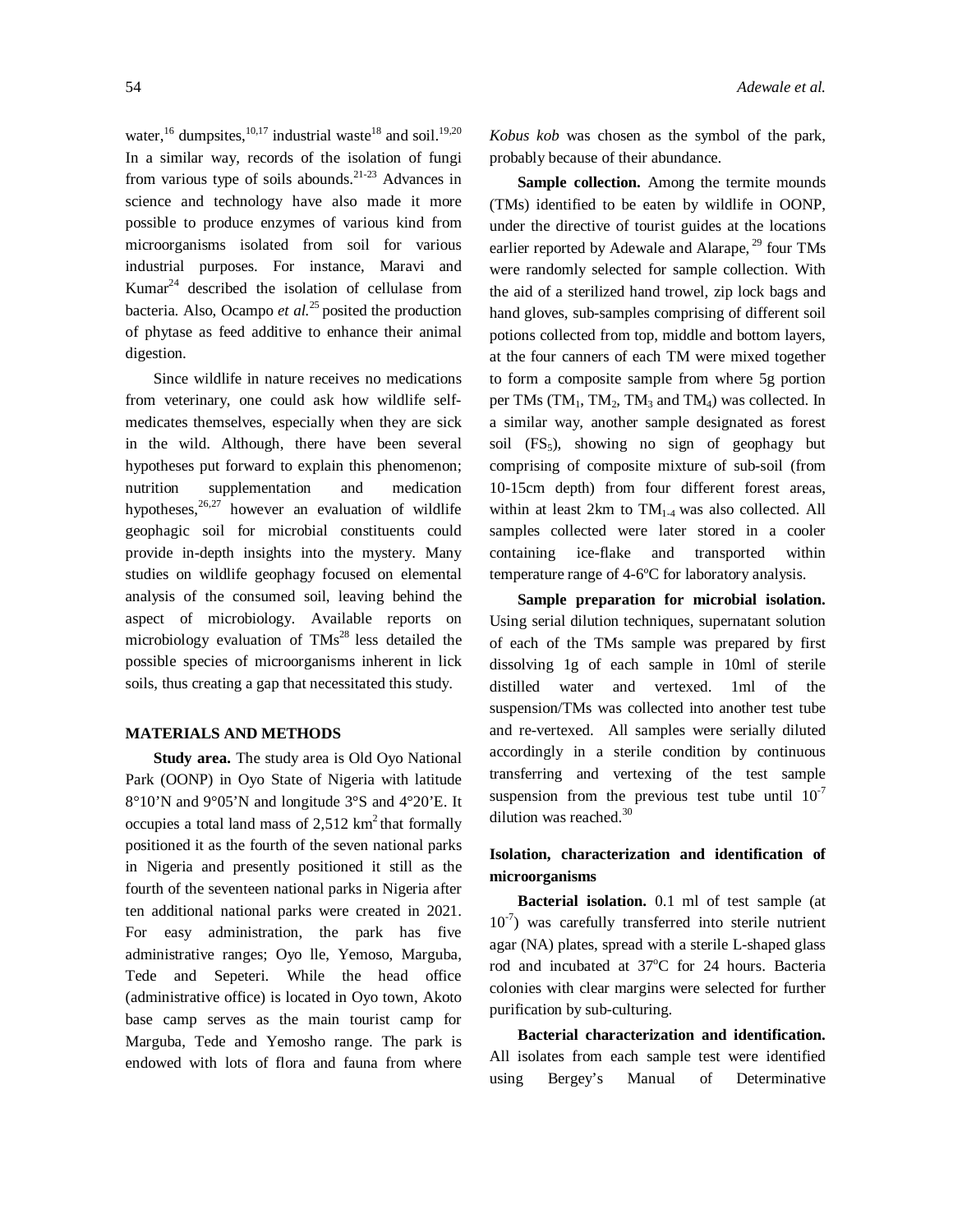water,  $^{16}$  dumpsites,  $^{10,17}$  industrial waste<sup>18</sup> and soil.<sup>19,20</sup> In a similar way, records of the isolation of fungi from various type of soils abounds.<sup>21-23</sup> Advances in science and technology have also made it more possible to produce enzymes of various kind from microorganisms isolated from soil for various industrial purposes. For instance, Maravi and Kumar $^{24}$  described the isolation of cellulase from bacteria. Also, Ocampo *et al.*<sup>25</sup> posited the production of phytase as feed additive to enhance their animal digestion.

Since wildlife in nature receives no medications from veterinary, one could ask how wildlife selfmedicates themselves, especially when they are sick in the wild. Although, there have been several hypotheses put forward to explain this phenomenon; nutrition supplementation and medication hypotheses,<sup>26,27</sup> however an evaluation of wildlife geophagic soil for microbial constituents could provide in-depth insights into the mystery. Many studies on wildlife geophagy focused on elemental analysis of the consumed soil, leaving behind the aspect of microbiology. Available reports on microbiology evaluation of  $T\text{Ms}^{28}$  less detailed the possible species of microorganisms inherent in lick soils, thus creating a gap that necessitated this study.

## **MATERIALS AND METHODS**

**Study area.** The study area is Old Oyo National Park (OONP) in Oyo State of Nigeria with latitude 8°10'N and 9°05'N and longitude 3°S and 4°20'E. It occupies a total land mass of  $2,512 \text{ km}^2$  that formally positioned it as the fourth of the seven national parks in Nigeria and presently positioned it still as the fourth of the seventeen national parks in Nigeria after ten additional national parks were created in 2021. For easy administration, the park has five administrative ranges; Oyo lle, Yemoso, Marguba, Tede and Sepeteri. While the head office (administrative office) is located in Oyo town, Akoto base camp serves as the main tourist camp for Marguba, Tede and Yemosho range. The park is endowed with lots of flora and fauna from where

*Kobus kob* was chosen as the symbol of the park, probably because of their abundance.

**Sample collection.** Among the termite mounds (TMs) identified to be eaten by wildlife in OONP, under the directive of tourist guides at the locations earlier reported by Adewale and Alarape,<sup>29</sup> four TMs were randomly selected for sample collection. With the aid of a sterilized hand trowel, zip lock bags and hand gloves, sub-samples comprising of different soil potions collected from top, middle and bottom layers, at the four canners of each TM were mixed together to form a composite sample from where 5g portion per TMs  $(TM_1, TM_2, TM_3$  and TM<sub>4</sub>) was collected. In a similar way, another sample designated as forest soil  $(FS_5)$ , showing no sign of geophagy but comprising of composite mixture of sub-soil (from 10-15cm depth) from four different forest areas, within at least 2km to  $TM_{1-4}$  was also collected. All samples collected were later stored in a cooler containing ice-flake and transported within temperature range of 4-6ºC for laboratory analysis.

**Sample preparation for microbial isolation.**  Using serial dilution techniques, supernatant solution of each of the TMs sample was prepared by first dissolving 1g of each sample in 10ml of sterile distilled water and vertexed. 1ml of the suspension/TMs was collected into another test tube and re-vertexed. All samples were serially diluted accordingly in a sterile condition by continuous transferring and vertexing of the test sample suspension from the previous test tube until  $10^{-7}$ dilution was reached.<sup>30</sup>

# **Isolation, characterization and identification of microorganisms**

**Bacterial isolation.** 0.1 ml of test sample (at  $10^{-7}$ ) was carefully transferred into sterile nutrient agar (NA) plates, spread with a sterile L-shaped glass rod and incubated at 37°C for 24 hours. Bacteria colonies with clear margins were selected for further purification by sub-culturing.

**Bacterial characterization and identification.**  All isolates from each sample test were identified using Bergey's Manual of Determinative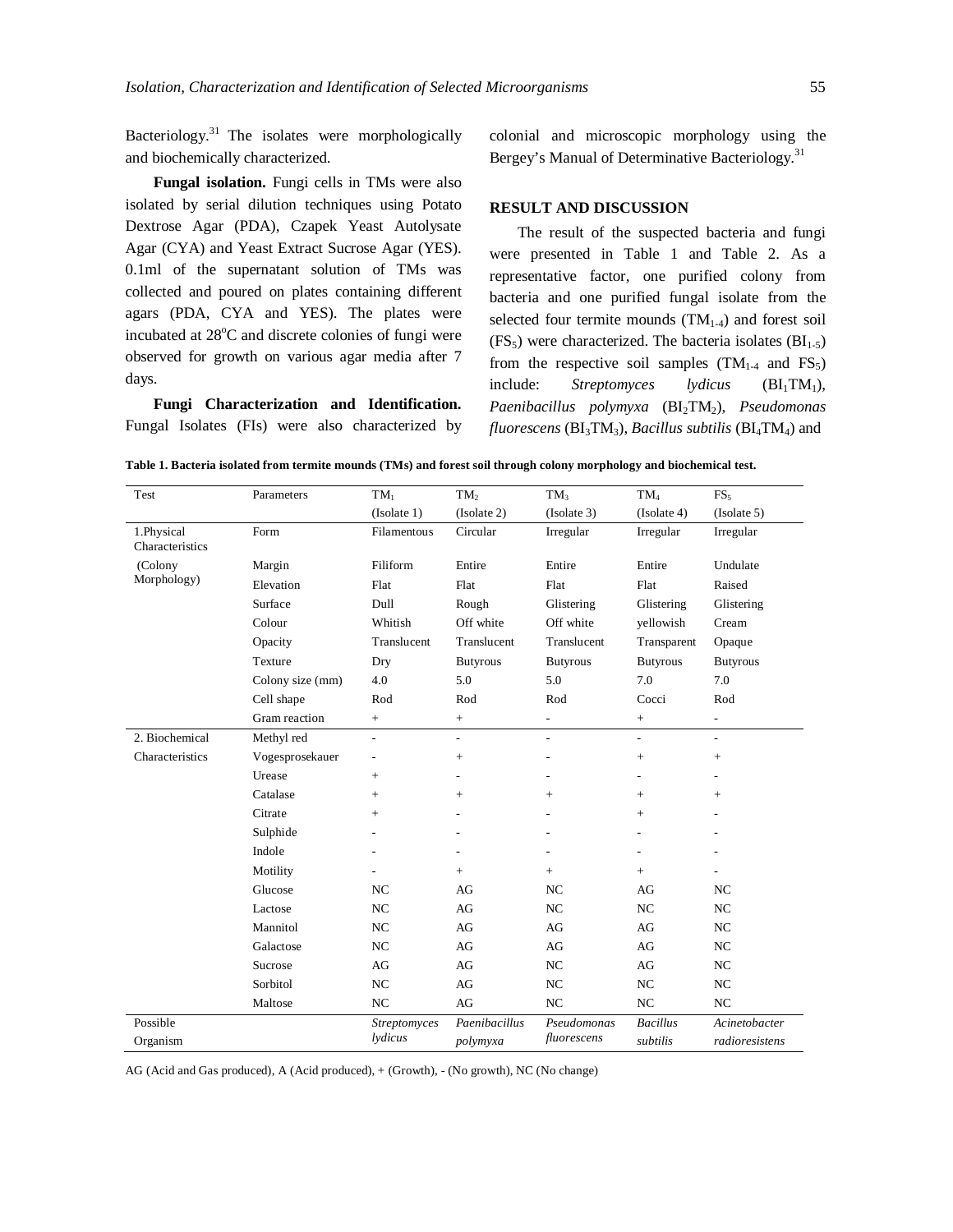Bacteriology.<sup>31</sup> The isolates were morphologically and biochemically characterized.

**Fungal isolation.** Fungi cells in TMs were also isolated by serial dilution techniques using Potato Dextrose Agar (PDA), Czapek Yeast Autolysate Agar (CYA) and Yeast Extract Sucrose Agar (YES). 0.1ml of the supernatant solution of TMs was collected and poured on plates containing different agars (PDA, CYA and YES). The plates were incubated at 28°C and discrete colonies of fungi were observed for growth on various agar media after 7 days.

**Fungi Characterization and Identification.**  Fungal Isolates (FIs) were also characterized by colonial and microscopic morphology using the Bergey's Manual of Determinative Bacteriology.<sup>31</sup>

#### **RESULT AND DISCUSSION**

The result of the suspected bacteria and fungi were presented in Table 1 and Table 2. As a representative factor, one purified colony from bacteria and one purified fungal isolate from the selected four termite mounds  $(TM<sub>1-4</sub>)$  and forest soil (FS<sub>5</sub>) were characterized. The bacteria isolates ( $BI<sub>1-5</sub>$ ) from the respective soil samples  $(TM_{1-4}$  and  $FS_5)$ include: *Streptomyces lydicus* (BI<sub>1</sub>TM<sub>1</sub>), *Paenibacillus polymyxa* (BI2TM2), *Pseudomonas fluorescens* (BI3TM3), *Bacillus subtilis* (BI4TM4) and

| Table 1. Bacteria isolated from termite mounds (TMs) and forest soil through colony morphology and biochemical test. |  |  |  |
|----------------------------------------------------------------------------------------------------------------------|--|--|--|
|----------------------------------------------------------------------------------------------------------------------|--|--|--|

| Test                          | Parameters       | $TM_1$                   | TM <sub>2</sub>              | $TM_3$                     | $TM_4$                      | FS <sub>5</sub>                 |
|-------------------------------|------------------|--------------------------|------------------------------|----------------------------|-----------------------------|---------------------------------|
|                               |                  | (Isolate 1)              | (Isolate 2)                  | (Isolate 3)                | (Isolate 4)                 | (Isolate 5)                     |
| 1.Physical<br>Characteristics | Form             | Filamentous              | Circular                     | Irregular                  | Irregular                   | Irregular                       |
| (Colony<br>Morphology)        | Margin           | Filiform                 | Entire                       | Entire                     | Entire                      | Undulate                        |
|                               | Elevation        | Flat                     | Flat                         | Flat                       | Flat                        | Raised                          |
|                               | Surface          | Dull                     | Rough                        | Glistering                 | Glistering                  | Glistering                      |
|                               | Colour           | Whitish                  | Off white                    | Off white                  | yellowish                   | Cream                           |
|                               | Opacity          | Translucent              | Translucent                  | Translucent                | Transparent                 | Opaque                          |
|                               | Texture          | Dry                      | <b>Butyrous</b>              | <b>Butyrous</b>            | <b>Butyrous</b>             | <b>Butyrous</b>                 |
|                               | Colony size (mm) | 4.0                      | 5.0                          | 5.0                        | 7.0                         | 7.0                             |
|                               | Cell shape       | Rod                      | Rod                          | Rod                        | Cocci                       | Rod                             |
|                               | Gram reaction    | $+$                      | $+$                          | L.                         | $\pm$                       | ÷.                              |
| 2. Biochemical                | Methyl red       | $\overline{\phantom{a}}$ | $\qquad \qquad \blacksquare$ | $\overline{\phantom{0}}$   | $\overline{\phantom{a}}$    | ÷.                              |
| Characteristics               | Vogesprosekauer  | $\overline{\phantom{0}}$ |                              | L,                         |                             | $^+$                            |
|                               | Urease           | $+$                      | ۰                            | $\overline{a}$             | ٠                           | ۰                               |
|                               | Catalase         | $+$                      | $+$                          | $^{+}$                     | $^{+}$                      | $^{+}$                          |
|                               | Citrate          | $+$                      |                              |                            | $^{+}$                      |                                 |
|                               | Sulphide         |                          | $\overline{\phantom{a}}$     | L,                         |                             |                                 |
|                               | Indole           |                          | $\overline{a}$               |                            | ÷,                          |                                 |
|                               | Motility         |                          | $+$                          | $^{+}$                     | $^{+}$                      |                                 |
|                               | Glucose          | NC                       | AG                           | NC                         | AG                          | NC                              |
|                               | Lactose          | NC                       | AG                           | NC                         | NC                          | NC                              |
|                               | Mannitol         | NC                       | AG                           | AG                         | AG                          | NC                              |
|                               | Galactose        | NC                       | AG                           | AG                         | AG                          | NC                              |
|                               | Sucrose          | AG                       | AG                           | NC                         | AG                          | NC                              |
|                               | Sorbitol         | NC                       | AG                           | NC                         | NC                          | NC                              |
|                               | Maltose          | NC                       | AG                           | NC                         | NC                          | NC                              |
| Possible<br>Organism          |                  | Streptomyces<br>lydicus  | Paenibacillus<br>polymyxa    | Pseudomonas<br>fluorescens | <b>Bacillus</b><br>subtilis | Acinetobacter<br>radioresistens |

AG (Acid and Gas produced), A (Acid produced), + (Growth), - (No growth), NC (No change)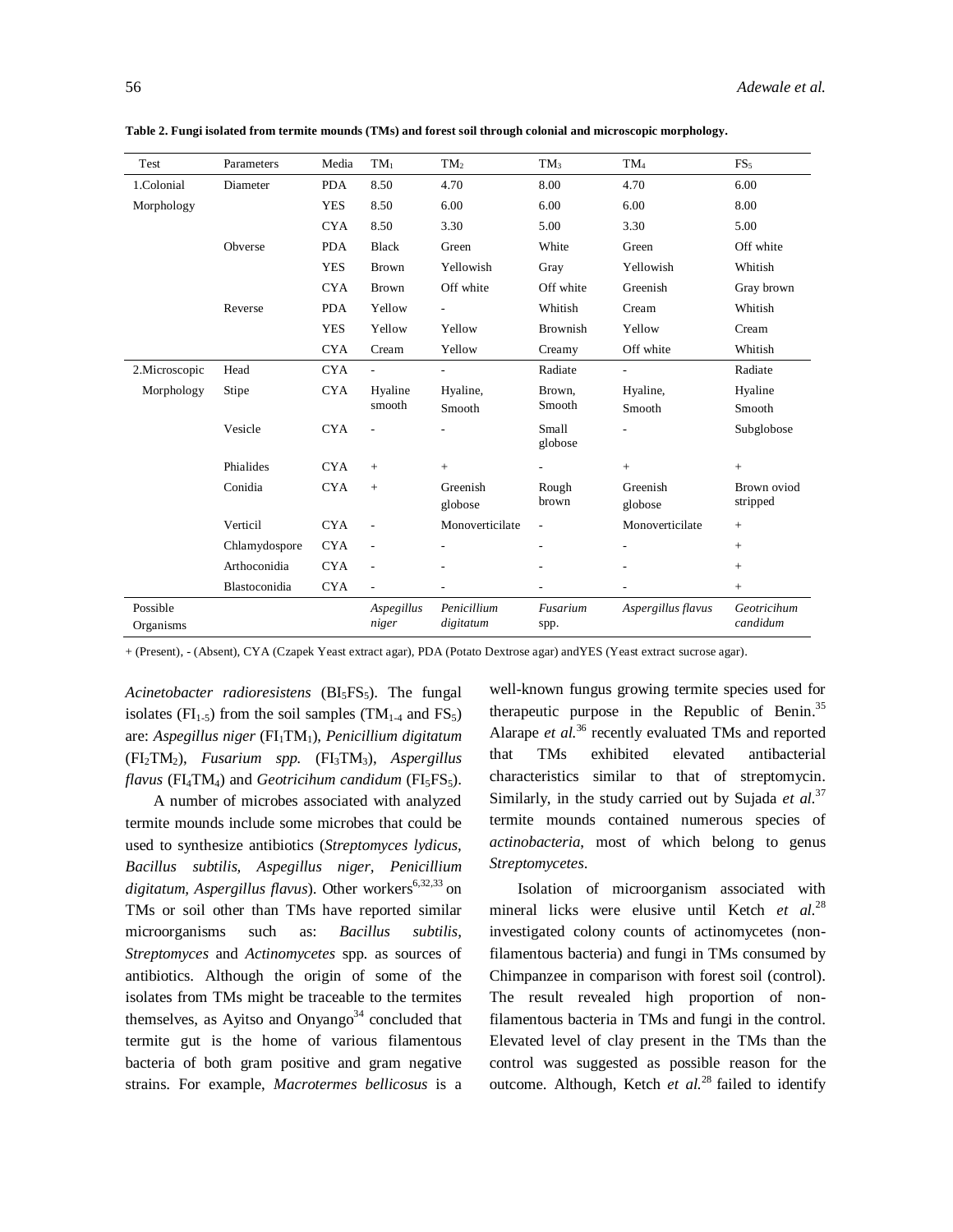| Test                  | Parameters    | Media      | $TM_1$              | TM <sub>2</sub>          | $TM_3$           | $TM_4$                   | FS <sub>5</sub>         |
|-----------------------|---------------|------------|---------------------|--------------------------|------------------|--------------------------|-------------------------|
| 1.Colonial            | Diameter      | <b>PDA</b> | 8.50                | 4.70                     | 8.00             | 4.70                     | 6.00                    |
| Morphology            |               | <b>YES</b> | 8.50                | 6.00                     | 6.00             | 6.00                     | 8.00                    |
|                       |               | <b>CYA</b> | 8.50                | 3.30                     | 5.00             | 3.30                     | 5.00                    |
|                       | Obverse       | <b>PDA</b> | <b>Black</b>        | Green                    | White            | Green                    | Off white               |
|                       |               | <b>YES</b> | <b>Brown</b>        | Yellowish                | Gray             | Yellowish                | Whitish                 |
|                       |               | <b>CYA</b> | Brown               | Off white                | Off white        | Greenish                 | Gray brown              |
|                       | Reverse       | <b>PDA</b> | Yellow              | $\overline{\phantom{a}}$ | Whitish          | Cream                    | Whitish                 |
|                       |               | <b>YES</b> | Yellow              | Yellow                   | <b>Brownish</b>  | Yellow                   | Cream                   |
|                       |               | <b>CYA</b> | Cream               | Yellow                   | Creamy           | Off white                | Whitish                 |
| 2.Microscopic         | Head          | <b>CYA</b> | $\overline{a}$      | $\overline{\phantom{a}}$ | Radiate          | $\overline{\phantom{a}}$ | Radiate                 |
| Morphology            | Stipe         | <b>CYA</b> | Hyaline<br>smooth   | Hyaline,<br>Smooth       | Brown,<br>Smooth | Hyaline,<br>Smooth       | Hyaline<br>Smooth       |
|                       | Vesicle       | <b>CYA</b> |                     |                          | Small<br>globose |                          | Subglobose              |
|                       | Phialides     | <b>CYA</b> | $+$                 | $+$                      |                  | $+$                      | $\! +$                  |
|                       | Conidia       | <b>CYA</b> | $+$                 | Greenish                 | Rough            | Greenish                 | Brown oviod             |
|                       |               |            |                     | globose                  | brown            | globose                  | stripped                |
|                       | Verticil      | <b>CYA</b> |                     | Monoverticilate          | $\sim$           | Monoverticilate          | $+$                     |
|                       | Chlamydospore | <b>CYA</b> | L,                  |                          | $\overline{a}$   |                          | $+$                     |
|                       | Arthoconidia  | <b>CYA</b> | $\overline{a}$      |                          |                  |                          | $+$                     |
|                       | Blastoconidia | <b>CYA</b> | ÷,                  |                          |                  |                          | $+$                     |
| Possible<br>Organisms |               |            | Aspegillus<br>niger | Penicillium<br>digitatum | Fusarium<br>spp. | Aspergillus flavus       | Geotricihum<br>candidum |

**Table 2. Fungi isolated from termite mounds (TMs) and forest soil through colonial and microscopic morphology.**

+ (Present), - (Absent), CYA (Czapek Yeast extract agar), PDA (Potato Dextrose agar) andYES (Yeast extract sucrose agar).

Acinetobacter radioresistens (BI<sub>5</sub>FS<sub>5</sub>). The fungal isolates ( $FI_{1-5}$ ) from the soil samples (TM<sub>1-4</sub> and FS<sub>5</sub>) are: Aspegillus niger (FI<sub>1</sub>TM<sub>1</sub>), *Penicillium digitatum* (FI2TM2), *Fusarium spp.* (FI3TM3), *Aspergillus flavus* ( $FI_4TM_4$ ) and *Geotricihum candidum* ( $FI_5FS_5$ ).

A number of microbes associated with analyzed termite mounds include some microbes that could be used to synthesize antibiotics (*Streptomyces lydicus, Bacillus subtilis, Aspegillus niger, Penicillium digitatum, Aspergillus flavus*). Other workers<sup>6,32,33</sup> on TMs or soil other than TMs have reported similar microorganisms such as: *Bacillus subtilis*, *Streptomyces* and *Actinomycetes* spp. as sources of antibiotics. Although the origin of some of the isolates from TMs might be traceable to the termites themselves, as Ayitso and Onyango<sup>34</sup> concluded that termite gut is the home of various filamentous bacteria of both gram positive and gram negative strains. For example, *Macrotermes bellicosus* is a well-known fungus growing termite species used for therapeutic purpose in the Republic of Benin.<sup>35</sup> Alarape *et al.*<sup>36</sup> recently evaluated TMs and reported that TMs exhibited elevated antibacterial characteristics similar to that of streptomycin. Similarly, in the study carried out by Sujada *et al.*<sup>37</sup> termite mounds contained numerous species of *actinobacteria*, most of which belong to genus *Streptomycetes*.

Isolation of microorganism associated with mineral licks were elusive until Ketch *et al.*<sup>28</sup> investigated colony counts of actinomycetes (nonfilamentous bacteria) and fungi in TMs consumed by Chimpanzee in comparison with forest soil (control). The result revealed high proportion of nonfilamentous bacteria in TMs and fungi in the control. Elevated level of clay present in the TMs than the control was suggested as possible reason for the outcome. Although, Ketch *et al.*<sup>28</sup> failed to identify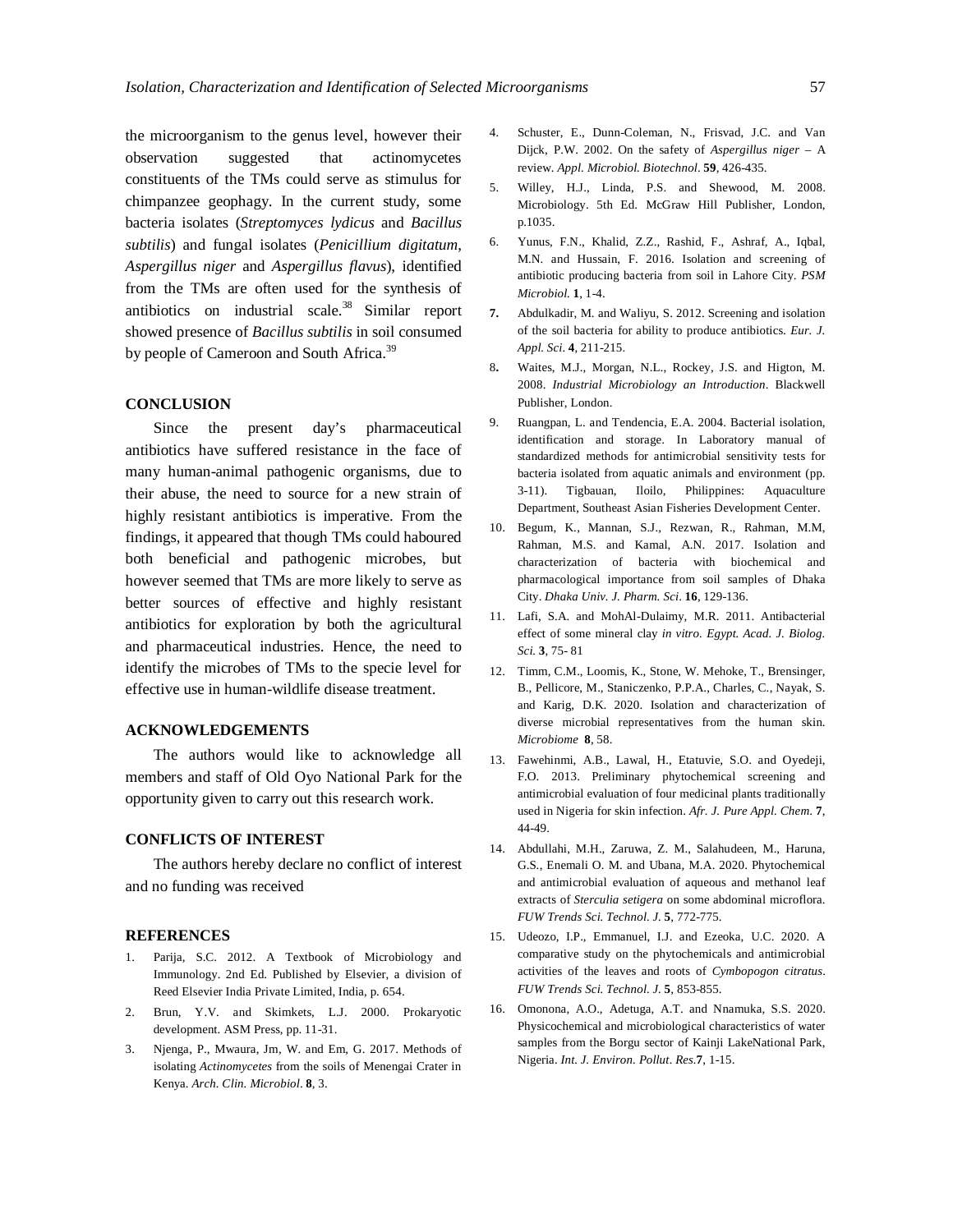the microorganism to the genus level, however their observation suggested that actinomycetes constituents of the TMs could serve as stimulus for chimpanzee geophagy. In the current study, some bacteria isolates (*Streptomyces lydicus* and *Bacillus subtilis*) and fungal isolates (*Penicillium digitatum*, *Aspergillus niger* and *Aspergillus flavus*), identified from the TMs are often used for the synthesis of antibiotics on industrial scale.<sup>38</sup> Similar report showed presence of *Bacillus subtilis* in soil consumed by people of Cameroon and South Africa.<sup>39</sup>

# **CONCLUSION**

Since the present day's pharmaceutical antibiotics have suffered resistance in the face of many human-animal pathogenic organisms, due to their abuse, the need to source for a new strain of highly resistant antibiotics is imperative. From the findings, it appeared that though TMs could haboured both beneficial and pathogenic microbes, but however seemed that TMs are more likely to serve as better sources of effective and highly resistant antibiotics for exploration by both the agricultural and pharmaceutical industries. Hence, the need to identify the microbes of TMs to the specie level for effective use in human-wildlife disease treatment.

## **ACKNOWLEDGEMENTS**

The authors would like to acknowledge all members and staff of Old Oyo National Park for the opportunity given to carry out this research work.

# **CONFLICTS OF INTEREST**

The authors hereby declare no conflict of interest and no funding was received

### **REFERENCES**

- 1. Parija, S.C. 2012. A Textbook of Microbiology and Immunology. 2nd Ed. Published by Elsevier, a division of Reed Elsevier India Private Limited, India, p. 654.
- 2. Brun, Y.V. and Skimkets, L.J. 2000. Prokaryotic development. ASM Press, pp. 11-31.
- 3. Njenga, P., Mwaura, Jm, W. and Em, G. 2017. Methods of isolating *Actinomycetes* from the soils of Menengai Crater in Kenya. *Arch. Clin. Microbiol*. **8**, 3.
- 4. Schuster, E., Dunn-Coleman, N., Frisvad, J.C. and Van Dijck, P.W. 2002. On the safety of *Aspergillus niger* – A review. *Appl. Microbiol. Biotechnol*. **59**, 426-435.
- 5. Willey, H.J., Linda, P.S. and Shewood, M. 2008. Microbiology. 5th Ed. McGraw Hill Publisher, London, p.1035.
- 6. Yunus, F.N., Khalid, Z.Z., Rashid, F., Ashraf, A., Iqbal, M.N. and Hussain, F. 2016. Isolation and screening of antibiotic producing bacteria from soil in Lahore City. *PSM Microbiol.* **1**, 1-4.
- **7.** Abdulkadir, M. and Waliyu, S. 2012. Screening and isolation of the soil bacteria for ability to produce antibiotics. *Eur. J. Appl. Sci*. **4**, 211-215.
- 8**.** Waites, M.J., Morgan, N.L., Rockey, J.S. and Higton, M. 2008. *Industrial Microbiology an Introduction*. Blackwell Publisher, London.
- 9. Ruangpan, L. and Tendencia, E.A. 2004. Bacterial isolation, identification and storage. In Laboratory manual of standardized methods for antimicrobial sensitivity tests for bacteria isolated from aquatic animals and environment (pp. 3-11). Tigbauan, Iloilo, Philippines: Aquaculture Department, Southeast Asian Fisheries Development Center.
- 10. Begum, K., Mannan, S.J., Rezwan, R., Rahman, M.M, Rahman, M.S. and Kamal, A.N. 2017. Isolation and characterization of bacteria with biochemical and pharmacological importance from soil samples of Dhaka City. *Dhaka Univ. J. Pharm. Sci*. **16**, 129-136.
- 11. Lafi, S.A. and MohAl-Dulaimy, M.R. 2011. Antibacterial effect of some mineral clay *in vitro. Egypt. Acad. J. Biolog. Sci.* **3**, 75- 81
- 12. Timm, C.M., Loomis, K., Stone, W. Mehoke, T., Brensinger, B., Pellicore, M., Staniczenko, P.P.A., Charles, C., Nayak, S. and Karig, D.K. 2020. Isolation and characterization of diverse microbial representatives from the human skin. *Microbiome* **8**, 58.
- 13. Fawehinmi, A.B., Lawal, H., Etatuvie, S.O. and Oyedeji, F.O. 2013. Preliminary phytochemical screening and antimicrobial evaluation of four medicinal plants traditionally used in Nigeria for skin infection. *Afr. J. Pure Appl. Chem*. **7**, 44-49.
- 14. Abdullahi, M.H., Zaruwa, Z. M., Salahudeen, M., Haruna, G.S., Enemali O. M. and Ubana, M.A. 2020. Phytochemical and antimicrobial evaluation of aqueous and methanol leaf extracts of *Sterculia setigera* on some abdominal microflora. *FUW Trends Sci. Technol. J.* **5**, 772-775.
- 15. Udeozo, I.P., Emmanuel, I.J. and Ezeoka, U.C. 2020. A comparative study on the phytochemicals and antimicrobial activities of the leaves and roots of *Cymbopogon citratus*. *FUW Trends Sci. Technol. J.* **5**, 853-855.
- 16. Omonona, A.O., Adetuga, A.T. and Nnamuka, S.S. 2020. Physicochemical and microbiological characteristics of water samples from the Borgu sector of Kainji LakeNational Park, Nigeria. *Int. J. Environ. Pollut. Res.***7**, 1-15.